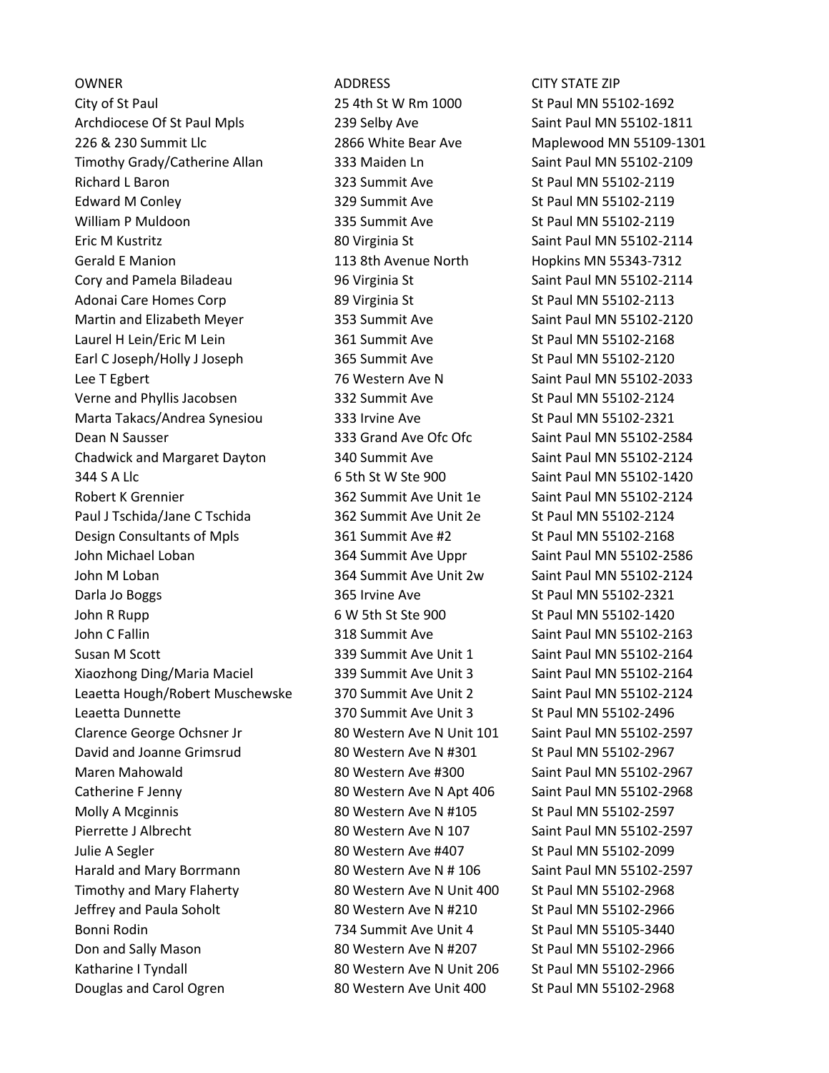OWNER ADDRESS CITY STATE ZIP City of St Paul 25 4th St W Rm 1000 St Paul MN 55102-1692 Archdiocese Of St Paul Mpls 239 Selby Ave Saint Paul MN 55102-1811 226 & 230 Summit Llc 2866 White Bear Ave Maplewood MN 55109-1301 Timothy Grady/Catherine Allan 333 Maiden Ln Saint Paul MN 55102-2109 Richard L Baron 1986 1998 100 St Paul MN 55102-2119 Edward M Conley **329 Summit Ave St Paul MN 55102-2119** William P Muldoon **335 Summit Ave St Paul MN 55102-2119** Eric M Kustritz 80 Virginia St Saint Paul MN 55102-2114 Gerald E Manion 113 8th Avenue North Hopkins MN 55343-7312 Cory and Pamela Biladeau 196 Virginia St Saint Paul MN 55102-2114 Adonai Care Homes Corp 89 Virginia St St Paul MN 55102-2113 Martin and Elizabeth Meyer 353 Summit Ave Saint Paul MN 55102-2120 Laurel H Lein/Eric M Lein 1990 1990 361 Summit Ave St Paul MN 55102-2168 Earl C Joseph/Holly J Joseph 365 Summit Ave St Paul MN 55102-2120 Lee T Egbert 1988 100 2003 16 Western Ave N Saint Paul MN 55102-2033 Verne and Phyllis Jacobsen 332 Summit Ave St Paul MN 55102-2124 Marta Takacs/Andrea Synesiou and 333 Irvine Ave St Paul MN 55102-2321 Dean N Sausser 333 Grand Ave Ofc Ofc Saint Paul MN 55102-2584 Chadwick and Margaret Dayton 340 Summit Ave Saint Paul MN 55102-2124 344 S A Llc 6 5th St W Ste 900 Saint Paul MN 55102-1420 Robert K Grennier 362 Summit Ave Unit 1e Saint Paul MN 55102-2124 Paul J Tschida/Jane C Tschida 362 Summit Ave Unit 2e St Paul MN 55102-2124 Design Consultants of Mpls 361 Summit Ave #2 St Paul MN 55102-2168 John Michael Loban 364 Summit Ave Uppr Saint Paul MN 55102-2586 John M Loban 364 Summit Ave Unit 2w Saint Paul MN 55102-2124 Darla Jo Boggs 365 Irvine Ave 365 Irvine Ave St Paul MN 55102-2321 John R Rupp **6 W 5th St Ste 900** St Paul MN 55102-1420 John C Fallin 318 Summit Ave Saint Paul MN 55102-2163 Susan M Scott 339 Summit Ave Unit 1 Saint Paul MN 55102-2164 Xiaozhong Ding/Maria Maciel 339 Summit Ave Unit 3 Saint Paul MN 55102-2164 Leaetta Hough/Robert Muschewske 370 Summit Ave Unit 2 Saint Paul MN 55102-2124 Leaetta Dunnette **370 Summit Ave Unit 3** St Paul MN 55102-2496 Clarence George Ochsner Jr 80 Western Ave N Unit 101 Saint Paul MN 55102-2597 David and Joanne Grimsrud 80 Western Ave N #301 St Paul MN 55102-2967 Maren Mahowald 80 Western Ave #300 Saint Paul MN 55102-2967 Catherine F Jenny 80 Western Ave N Apt 406 Saint Paul MN 55102-2968 Molly A Mcginnis **80 Western Ave N** #105 St Paul MN 55102-2597 Pierrette J Albrecht 80 Western Ave N 107 Saint Paul MN 55102-2597 Julie A Segler 80 Western Ave #407 St Paul MN 55102-2099 Harald and Mary Borrmann **80 Western Ave N # 106** Saint Paul MN 55102-2597 Timothy and Mary Flaherty 80 Western Ave N Unit 400 St Paul MN 55102-2968 Jeffrey and Paula Soholt 80 Western Ave N #210 St Paul MN 55102-2966 Bonni Rodin 734 Summit Ave Unit 4 St Paul MN 55105-3440 Don and Sally Mason **80 Western Ave N** #207 St Paul MN 55102-2966 Katharine I Tyndall 80 Western Ave N Unit 206 St Paul MN 55102-2966 Douglas and Carol Ogren 80 Western Ave Unit 400 St Paul MN 55102-2968